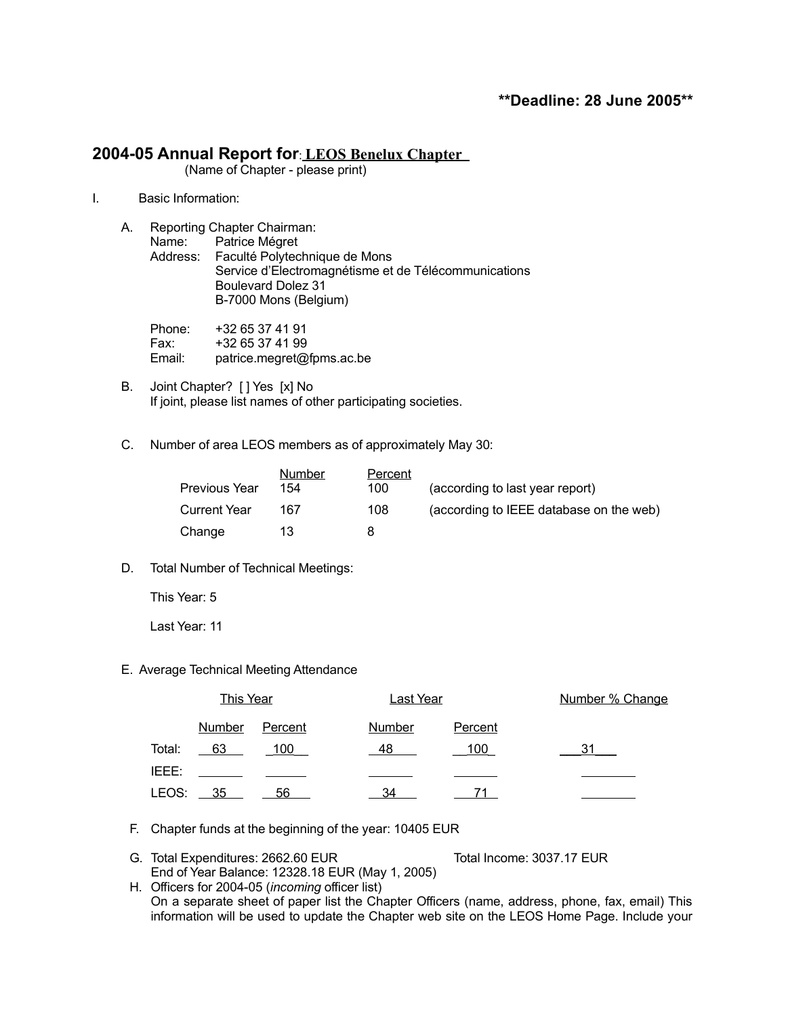# **2004-05 Annual Report for**: **LEOS Benelux Chapter**

(Name of Chapter - please print)

I. Basic Information:

| Reporting Chapter Chairman:                          |  |  |  |
|------------------------------------------------------|--|--|--|
| Name: Patrice Mégret                                 |  |  |  |
| Address: Faculté Polytechnique de Mons               |  |  |  |
| Service d'Electromagnétisme et de Télécommunications |  |  |  |
| <b>Boulevard Dolez 31</b>                            |  |  |  |
| B-7000 Mons (Belgium)                                |  |  |  |
|                                                      |  |  |  |
|                                                      |  |  |  |

Phone: +32 65 37 41 91 Fax: +32 65 37 41 99 Email: patrice.megret@fpms.ac.be

- B. Joint Chapter? [ ] Yes [x] No If joint, please list names of other participating societies.
- C. Number of area LEOS members as of approximately May 30:

| <b>Previous Year</b> | Number<br>154 | Percent<br>100 | (according to last year report)         |
|----------------------|---------------|----------------|-----------------------------------------|
| <b>Current Year</b>  | 167           | 108            | (according to IEEE database on the web) |
| Change               | 13            | я              |                                         |

D. Total Number of Technical Meetings:

This Year: 5

Last Year: 11

E. Average Technical Meeting Attendance

|             | <b>This Year</b> |                | <b>Last Year</b> |            | Number % Change |  |  |
|-------------|------------------|----------------|------------------|------------|-----------------|--|--|
|             | <b>Number</b>    | <b>Percent</b> | <b>Number</b>    | Percent    |                 |  |  |
| Total:      | $-63$            | <u>100</u>     | -48              | <u>100</u> |                 |  |  |
| IEEE:       |                  |                |                  |            |                 |  |  |
| LEOS: $-35$ |                  | 56             | 34               |            |                 |  |  |

F. Chapter funds at the beginning of the year: 10405 EUR

G. Total Expenditures: 2662.60 EUR Total Income: 3037.17 EUR End of Year Balance: 12328.18 EUR (May 1, 2005)

H. Officers for 2004-05 (*incoming* officer list) On a separate sheet of paper list the Chapter Officers (name, address, phone, fax, email) This information will be used to update the Chapter web site on the LEOS Home Page. Include your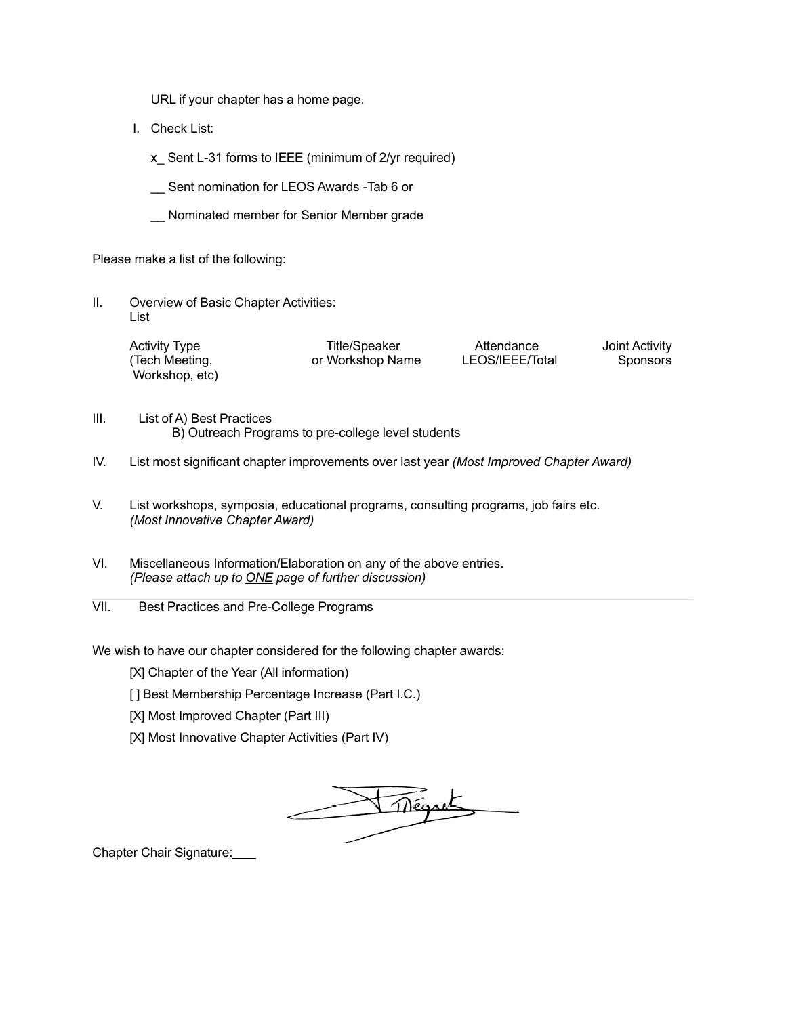URL if your chapter has a home page.

I. Check List:

x Sent L-31 forms to IEEE (minimum of 2/yr required)

\_\_ Sent nomination for LEOS Awards -Tab 6 or

\_\_ Nominated member for Senior Member grade

Please make a list of the following:

II. Overview of Basic Chapter Activities: List

| <b>Activity Type</b> | Title/Speaker    | Attendance      | Joint Activity |  |
|----------------------|------------------|-----------------|----------------|--|
| (Tech Meeting,       | or Workshop Name | LEOS/IEEE/Total | Sponsors       |  |
| Workshop, etc)       |                  |                 |                |  |

- III. List of A) Best Practices B) Outreach Programs to pre-college level students
- IV. List most significant chapter improvements over last year *(Most Improved Chapter Award)*
- V. List workshops, symposia, educational programs, consulting programs, job fairs etc. *(Most Innovative Chapter Award)*
- VI. Miscellaneous Information/Elaboration on any of the above entries. *(Please attach up to ONE page of further discussion)*
- VII. Best Practices and Pre-College Programs

We wish to have our chapter considered for the following chapter awards:

- [X] Chapter of the Year (All information)
- [ ] Best Membership Percentage Increase (Part I.C.)
- [X] Most Improved Chapter (Part III)
- [X] Most Innovative Chapter Activities (Part IV)

Thégret

Chapter Chair Signature: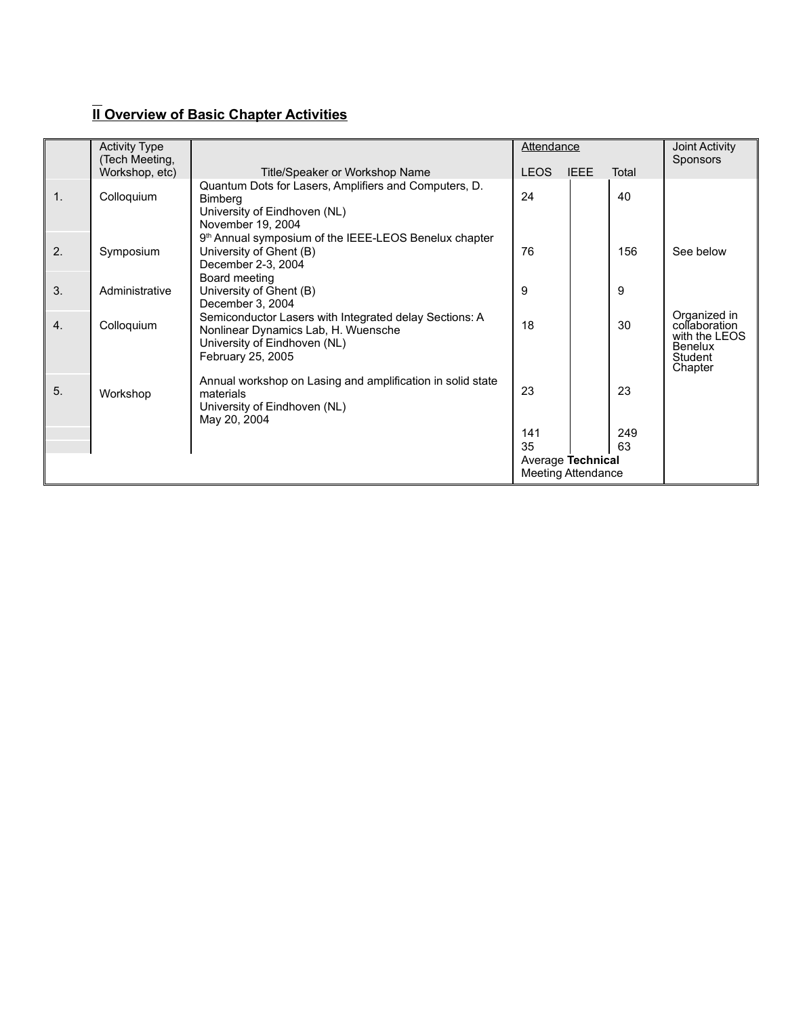# **II Overview of Basic Chapter Activities**

|                           | <b>Activity Type</b><br>(Tech Meeting, |                                                                                                                                                    | Attendance  |             |       | Joint Activity<br><b>Sponsors</b>                                                      |
|---------------------------|----------------------------------------|----------------------------------------------------------------------------------------------------------------------------------------------------|-------------|-------------|-------|----------------------------------------------------------------------------------------|
|                           | Workshop, etc)                         | Title/Speaker or Workshop Name                                                                                                                     | <b>LEOS</b> | <b>IEEE</b> | Total |                                                                                        |
| 1 <sub>1</sub>            | Colloquium                             | Quantum Dots for Lasers, Amplifiers and Computers, D.<br><b>Bimberg</b><br>University of Eindhoven (NL)<br>November 19, 2004                       | 24          |             | 40    |                                                                                        |
| 2.                        | Symposium                              | 9 <sup>th</sup> Annual symposium of the IEEE-LEOS Benelux chapter<br>University of Ghent (B)<br>December 2-3, 2004                                 | 76          |             | 156   | See below                                                                              |
| 3.                        | Administrative                         | Board meeting<br>University of Ghent (B)<br>December 3, 2004                                                                                       | 9           |             | 9     |                                                                                        |
| 4.                        | Colloquium                             | Semiconductor Lasers with Integrated delay Sections: A<br>Nonlinear Dynamics Lab, H. Wuensche<br>University of Eindhoven (NL)<br>February 25, 2005 | 18          |             | 30    | Organized in<br>collaboration<br>with the LEOS<br><b>Benelux</b><br>Student<br>Chapter |
| 5.                        | Workshop                               | Annual workshop on Lasing and amplification in solid state<br>materials<br>University of Eindhoven (NL)<br>May 20, 2004                            | 23          |             | 23    |                                                                                        |
|                           |                                        |                                                                                                                                                    | 141         |             | 249   |                                                                                        |
|                           |                                        |                                                                                                                                                    | 35          |             | 63    |                                                                                        |
|                           | Average Technical                      |                                                                                                                                                    |             |             |       |                                                                                        |
| <b>Meeting Attendance</b> |                                        |                                                                                                                                                    |             |             |       |                                                                                        |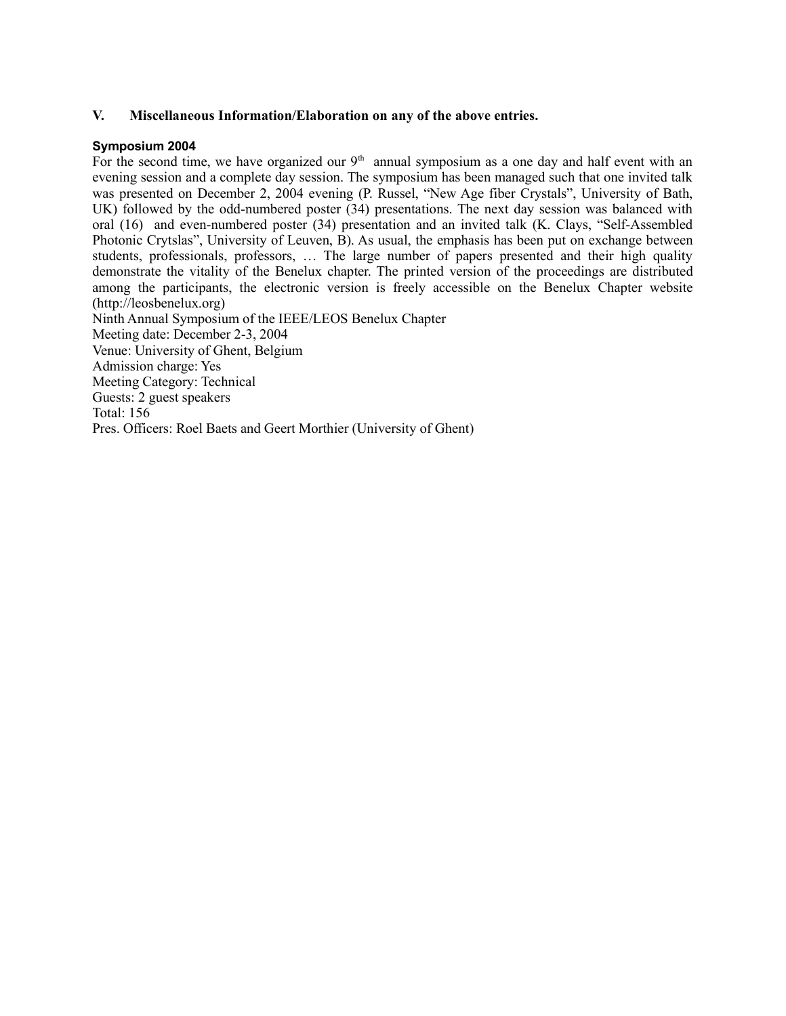## **V. Miscellaneous Information/Elaboration on any of the above entries.**

## **Symposium 2004**

For the second time, we have organized our  $9<sup>th</sup>$  annual symposium as a one day and half event with an evening session and a complete day session. The symposium has been managed such that one invited talk was presented on December 2, 2004 evening (P. Russel, "New Age fiber Crystals", University of Bath, UK) followed by the odd-numbered poster (34) presentations. The next day session was balanced with oral (16) and even-numbered poster (34) presentation and an invited talk (K. Clays, "Self-Assembled Photonic Crytslas", University of Leuven, B). As usual, the emphasis has been put on exchange between students, professionals, professors, … The large number of papers presented and their high quality demonstrate the vitality of the Benelux chapter. The printed version of the proceedings are distributed among the participants, the electronic version is freely accessible on the Benelux Chapter website (http://leosbenelux.org) Ninth Annual Symposium of the IEEE/LEOS Benelux Chapter Meeting date: December 2-3, 2004 Venue: University of Ghent, Belgium Admission charge: Yes Meeting Category: Technical Guests: 2 guest speakers Total: 156

Pres. Officers: Roel Baets and Geert Morthier (University of Ghent)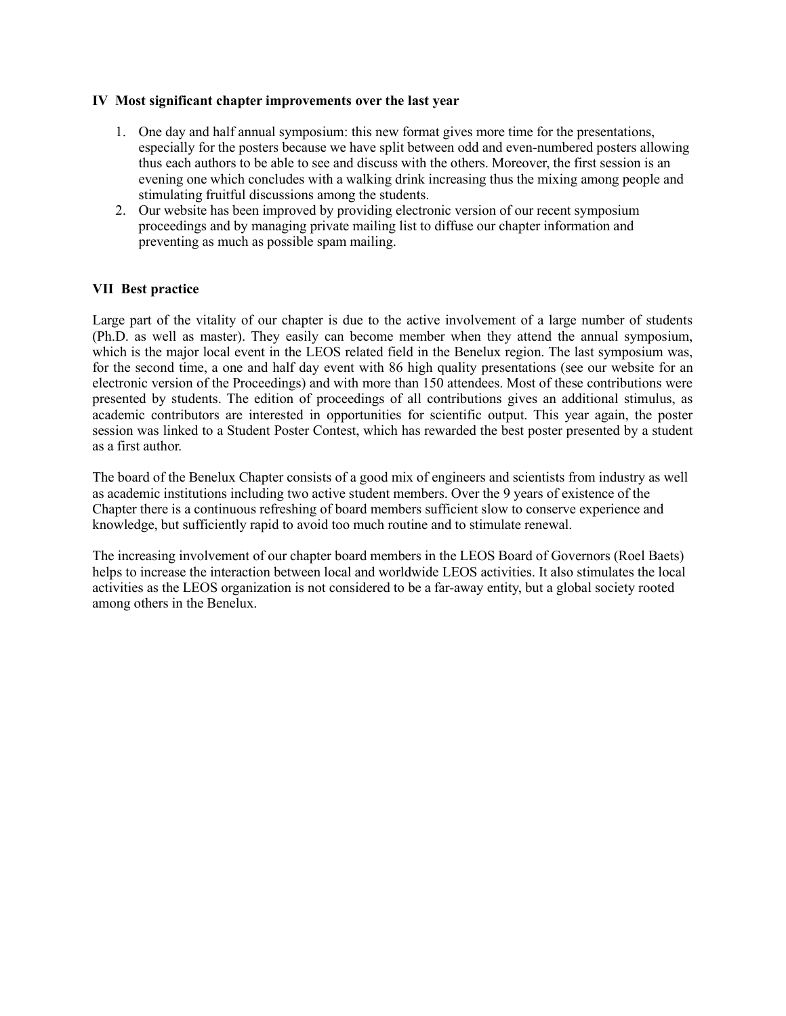## **IV Most significant chapter improvements over the last year**

- 1. One day and half annual symposium: this new format gives more time for the presentations, especially for the posters because we have split between odd and even-numbered posters allowing thus each authors to be able to see and discuss with the others. Moreover, the first session is an evening one which concludes with a walking drink increasing thus the mixing among people and stimulating fruitful discussions among the students.
- 2. Our website has been improved by providing electronic version of our recent symposium proceedings and by managing private mailing list to diffuse our chapter information and preventing as much as possible spam mailing.

## **VII Best practice**

Large part of the vitality of our chapter is due to the active involvement of a large number of students (Ph.D. as well as master). They easily can become member when they attend the annual symposium, which is the major local event in the LEOS related field in the Benelux region. The last symposium was, for the second time, a one and half day event with 86 high quality presentations (see our website for an electronic version of the Proceedings) and with more than 150 attendees. Most of these contributions were presented by students. The edition of proceedings of all contributions gives an additional stimulus, as academic contributors are interested in opportunities for scientific output. This year again, the poster session was linked to a Student Poster Contest, which has rewarded the best poster presented by a student as a first author.

The board of the Benelux Chapter consists of a good mix of engineers and scientists from industry as well as academic institutions including two active student members. Over the 9 years of existence of the Chapter there is a continuous refreshing of board members sufficient slow to conserve experience and knowledge, but sufficiently rapid to avoid too much routine and to stimulate renewal.

The increasing involvement of our chapter board members in the LEOS Board of Governors (Roel Baets) helps to increase the interaction between local and worldwide LEOS activities. It also stimulates the local activities as the LEOS organization is not considered to be a far-away entity, but a global society rooted among others in the Benelux.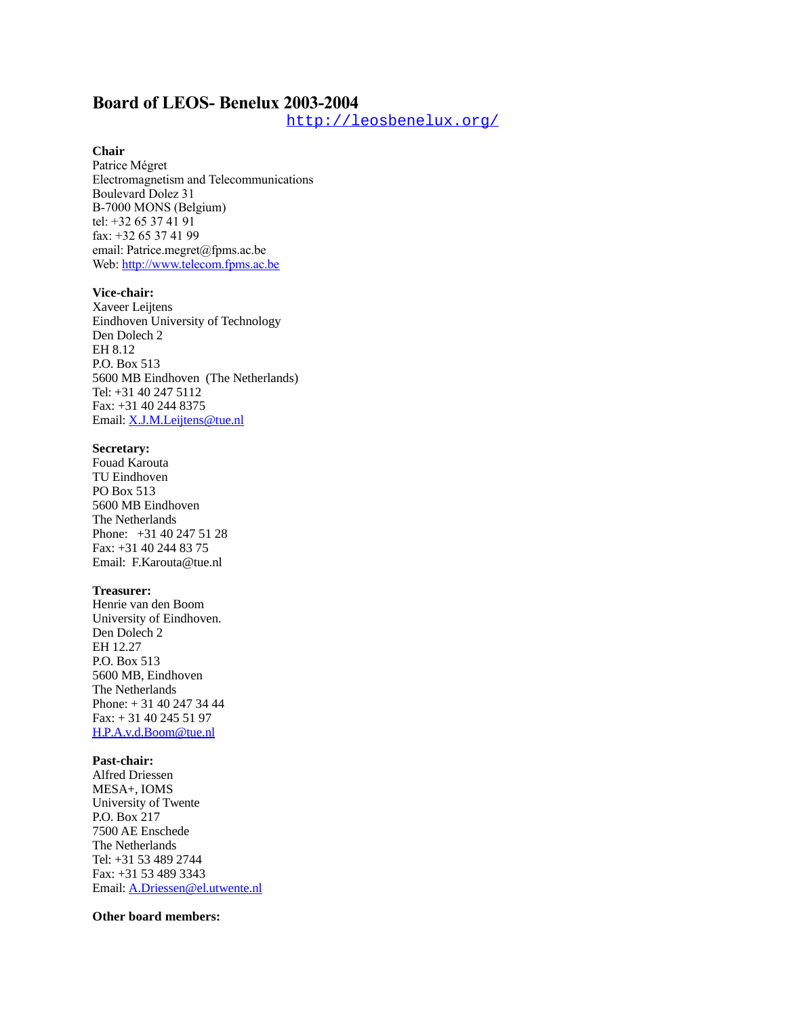# **Board of LEOS- Benelux 2003-2004**

<http://leosbenelux.org/>

## **Chair**

Patrice Mégret Electromagnetism and Telecommunications Boulevard Dolez 31 B-7000 MONS (Belgium) tel: +32 65 37 41 91 fax: +32 65 37 41 99 email: Patrice.megret@fpms.ac.be Web: [http://www.telecom.fpms.ac.be](http://www.telecom.fpms.ac.be/)

#### **Vice-chair:**

Xaveer Leijtens Eindhoven University of Technology Den Dolech 2 EH 8.12 P.O. Box 513 5600 MB Eindhoven (The Netherlands) Tel: +31 40 247 5112 Fax: +31 40 244 8375 Email: [X.J.M.Leijtens@tue.nl](mailto:X.J.M.Leijtens@tue.nl)

#### **Secretary:**

Fouad Karouta TU Eindhoven PO Box 513 5600 MB Eindhoven The Netherlands Phone: +31 40 247 51 28 Fax: +31 40 244 83 75 Email: F.Karouta@tue.nl

#### **Treasurer:**

Henrie van den Boom University of Eindhoven. Den Dolech 2 EH 12.27 P.O. Box 513 5600 MB, Eindhoven The Netherlands Phone: + 31 40 247 34 44 Fax: + 31 40 245 51 97 [H.P.A.v.d.Boom@tue.nl](mailto:H.P.A.v.d.Boom@tue.nl)

### **Past-chair:**

Alfred Driessen MESA+, IOMS University of Twente P.O. Box 217 7500 AE Enschede The Netherlands Tel: +31 53 489 2744 Fax: +31 53 489 3343 Email: [A.Driessen@el.utwente.nl](mailto:A.Driessen@tn.utwente.nl)

#### **Other board members:**